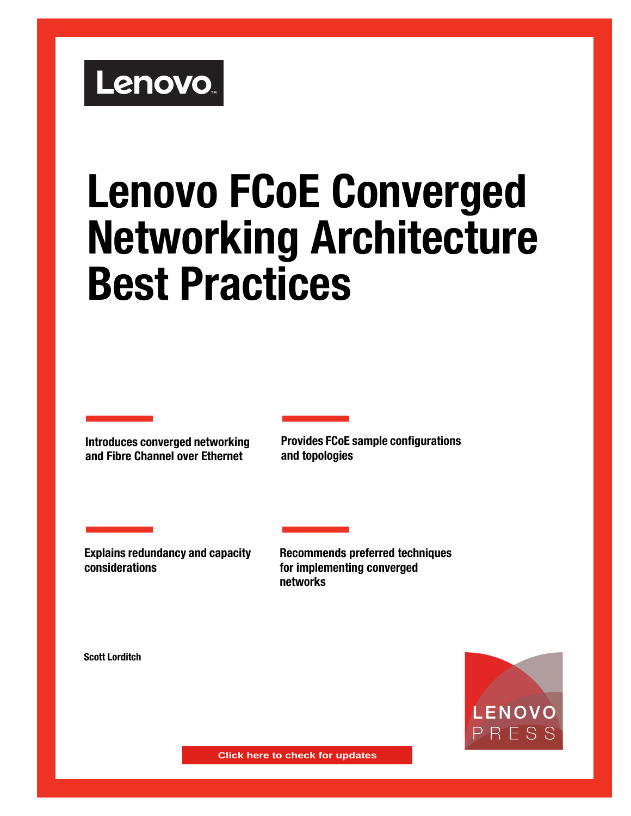# Lenovo.

# **Lenovo FCoE Converged Networking Architecture Best Practices**

**Introduces converged networking and Fibre Channel over Ethernet**

**Provides FCoE sample configurations and topologies**

**Explains redundancy and capacity considerations**

**Recommends preferred techniques for implementing converged networks**

**Scott Lorditch**



**Click here to check for updates**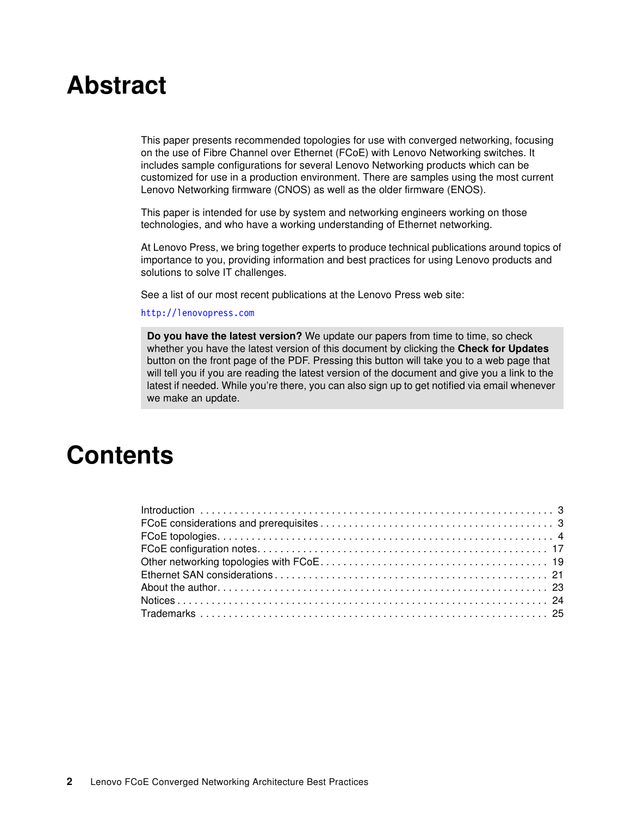# **Abstract**

This paper presents recommended topologies for use with converged networking, focusing on the use of Fibre Channel over Ethernet (FCoE) with Lenovo Networking switches. It includes sample configurations for several Lenovo Networking products which can be customized for use in a production environment. There are samples using the most current Lenovo Networking firmware (CNOS) as well as the older firmware (ENOS).

This paper is intended for use by system and networking engineers working on those technologies, and who have a working understanding of Ethernet networking.

At Lenovo Press, we bring together experts to produce technical publications around topics of importance to you, providing information and best practices for using Lenovo products and solutions to solve IT challenges.

See a list of our most recent publications at the Lenovo Press web site:

#### <http://lenovopress.com>

**Do you have the latest version?** We update our papers from time to time, so check whether you have the latest version of this document by clicking the **Check for Updates** button on the front page of the PDF. Pressing this button will take you to a web page that will tell you if you are reading the latest version of the document and give you a link to the latest if needed. While you're there, you can also sign up to get notified via email whenever we make an update.

# **Contents**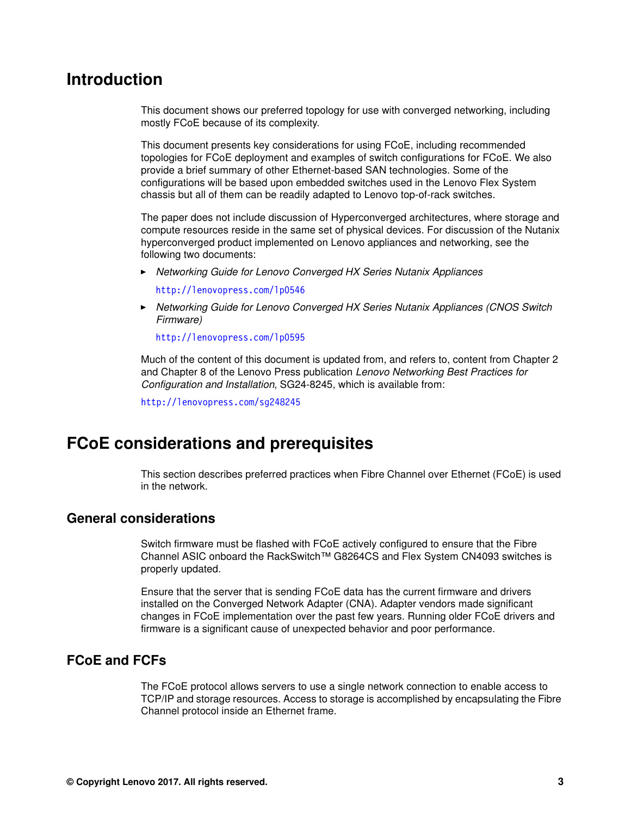## <span id="page-2-0"></span>**Introduction**

This document shows our preferred topology for use with converged networking, including mostly FCoE because of its complexity.

This document presents key considerations for using FCoE, including recommended topologies for FCoE deployment and examples of switch configurations for FCoE. We also provide a brief summary of other Ethernet-based SAN technologies. Some of the configurations will be based upon embedded switches used in the Lenovo Flex System chassis but all of them can be readily adapted to Lenovo top-of-rack switches.

The paper does not include discussion of Hyperconverged architectures, where storage and compute resources reside in the same set of physical devices. For discussion of the Nutanix hyperconverged product implemented on Lenovo appliances and networking, see the following two documents:

- *Networking Guide for Lenovo Converged HX Series Nutanix Appliances*

[http://lenovopress.com/lp0546](https://lenovopress.com/lp0546)

► *Networking Guide for Lenovo Converged HX Series Nutanix Appliances (CNOS Switch Firmware)*

[http://lenovopress.com/lp0595](https://lenovopress.com/lp0595)

Much of the content of this document is updated from, and refers to, content from Chapter 2 and Chapter 8 of the Lenovo Press publication *Lenovo Networking Best Practices for Configuration and Installation*, SG24-8245, which is available from:

<http://lenovopress.com/sg248245>

# <span id="page-2-1"></span>**FCoE considerations and prerequisites**

This section describes preferred practices when Fibre Channel over Ethernet (FCoE) is used in the network.

#### **General considerations**

Switch firmware must be flashed with FCoE actively configured to ensure that the Fibre Channel ASIC onboard the RackSwitch™ G8264CS and Flex System CN4093 switches is properly updated.

Ensure that the server that is sending FCoE data has the current firmware and drivers installed on the Converged Network Adapter (CNA). Adapter vendors made significant changes in FCoE implementation over the past few years. Running older FCoE drivers and firmware is a significant cause of unexpected behavior and poor performance.

#### **FCoE and FCFs**

The FCoE protocol allows servers to use a single network connection to enable access to TCP/IP and storage resources. Access to storage is accomplished by encapsulating the Fibre Channel protocol inside an Ethernet frame.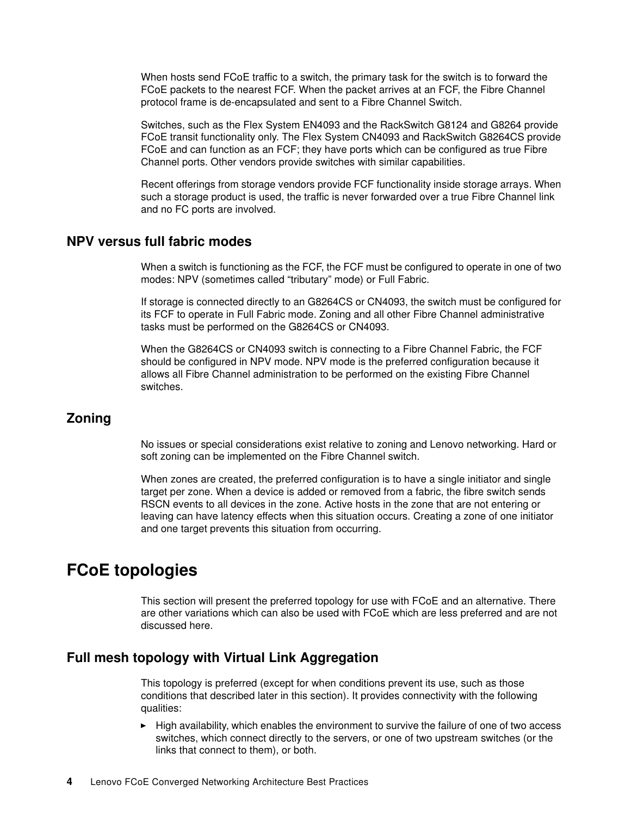When hosts send FCoE traffic to a switch, the primary task for the switch is to forward the FCoE packets to the nearest FCF. When the packet arrives at an FCF, the Fibre Channel protocol frame is de-encapsulated and sent to a Fibre Channel Switch.

Switches, such as the Flex System EN4093 and the RackSwitch G8124 and G8264 provide FCoE transit functionality only. The Flex System CN4093 and RackSwitch G8264CS provide FCoE and can function as an FCF; they have ports which can be configured as true Fibre Channel ports. Other vendors provide switches with similar capabilities.

Recent offerings from storage vendors provide FCF functionality inside storage arrays. When such a storage product is used, the traffic is never forwarded over a true Fibre Channel link and no FC ports are involved.

#### **NPV versus full fabric modes**

When a switch is functioning as the FCF, the FCF must be configured to operate in one of two modes: NPV (sometimes called "tributary" mode) or Full Fabric.

If storage is connected directly to an G8264CS or CN4093, the switch must be configured for its FCF to operate in Full Fabric mode. Zoning and all other Fibre Channel administrative tasks must be performed on the G8264CS or CN4093.

When the G8264CS or CN4093 switch is connecting to a Fibre Channel Fabric, the FCF should be configured in NPV mode. NPV mode is the preferred configuration because it allows all Fibre Channel administration to be performed on the existing Fibre Channel switches.

#### **Zoning**

No issues or special considerations exist relative to zoning and Lenovo networking. Hard or soft zoning can be implemented on the Fibre Channel switch.

When zones are created, the preferred configuration is to have a single initiator and single target per zone. When a device is added or removed from a fabric, the fibre switch sends RSCN events to all devices in the zone. Active hosts in the zone that are not entering or leaving can have latency effects when this situation occurs. Creating a zone of one initiator and one target prevents this situation from occurring.

## <span id="page-3-0"></span>**FCoE topologies**

This section will present the preferred topology for use with FCoE and an alternative. There are other variations which can also be used with FCoE which are less preferred and are not discussed here.

#### **Full mesh topology with Virtual Link Aggregation**

This topology is preferred (except for when conditions prevent its use, such as those conditions that described later in this section). It provides connectivity with the following qualities:

- High availability, which enables the environment to survive the failure of one of two access switches, which connect directly to the servers, or one of two upstream switches (or the links that connect to them), or both.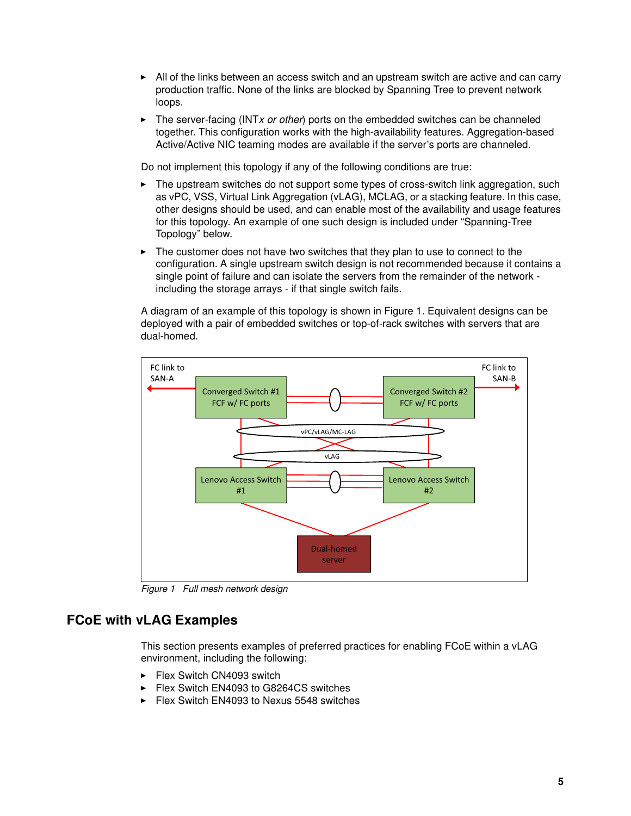- All of the links between an access switch and an upstream switch are active and can carry production traffic. None of the links are blocked by Spanning Tree to prevent network loops.
- ► The server-facing (INT*x or other*) ports on the embedded switches can be channeled together. This configuration works with the high-availability features. Aggregation-based Active/Active NIC teaming modes are available if the server's ports are channeled.

Do not implement this topology if any of the following conditions are true:

- - The upstream switches do not support some types of cross-switch link aggregation, such as vPC, VSS, Virtual Link Aggregation (vLAG), MCLAG, or a stacking feature. In this case, other designs should be used, and can enable most of the availability and usage features for this topology. An example of one such design is included under "Spanning-Tree Topology" below.
- - The customer does not have two switches that they plan to use to connect to the configuration. A single upstream switch design is not recommended because it contains a single point of failure and can isolate the servers from the remainder of the network including the storage arrays - if that single switch fails.

A diagram of an example of this topology is shown in Figure 1. Equivalent designs can be deployed with a pair of embedded switches or top-of-rack switches with servers that are dual-homed.



*Figure 1 Full mesh network design*

#### **FCoE with vLAG Examples**

This section presents examples of preferred practices for enabling FCoE within a vLAG environment, including the following:

- -Flex Switch CN4093 switch
- -Flex Switch EN4093 to G8264CS switches
- -Flex Switch EN4093 to Nexus 5548 switches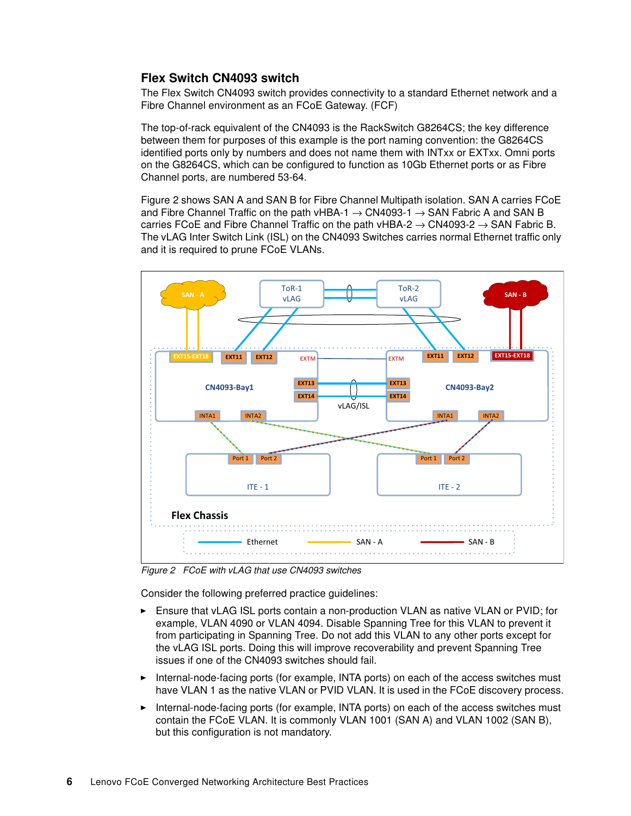#### **Flex Switch CN4093 switch**

The Flex Switch CN4093 switch provides connectivity to a standard Ethernet network and a Fibre Channel environment as an FCoE Gateway. (FCF)

The top-of-rack equivalent of the CN4093 is the RackSwitch G8264CS; the key difference between them for purposes of this example is the port naming convention: the G8264CS identified ports only by numbers and does not name them with INTxx or EXTxx. Omni ports on the G8264CS, which can be configured to function as 10Gb Ethernet ports or as Fibre Channel ports, are numbered 53-64.

Figure 2 shows SAN A and SAN B for Fibre Channel Multipath isolation. SAN A carries FCoE and Fibre Channel Traffic on the path vHBA-1  $\rightarrow$  CN4093-1  $\rightarrow$  SAN Fabric A and SAN B carries FCoE and Fibre Channel Traffic on the path vHBA-2  $\rightarrow$  CN4093-2  $\rightarrow$  SAN Fabric B. The vLAG Inter Switch Link (ISL) on the CN4093 Switches carries normal Ethernet traffic only and it is required to prune FCoE VLANs.



*Figure 2 FCoE with vLAG that use CN4093 switches*

Consider the following preferred practice guidelines:

- - Ensure that vLAG ISL ports contain a non-production VLAN as native VLAN or PVID; for example, VLAN 4090 or VLAN 4094. Disable Spanning Tree for this VLAN to prevent it from participating in Spanning Tree. Do not add this VLAN to any other ports except for the vLAG ISL ports. Doing this will improve recoverability and prevent Spanning Tree issues if one of the CN4093 switches should fail.
- Internal-node-facing ports (for example, INTA ports) on each of the access switches must have VLAN 1 as the native VLAN or PVID VLAN. It is used in the FCoE discovery process.
- Internal-node-facing ports (for example, INTA ports) on each of the access switches must contain the FCoE VLAN. It is commonly VLAN 1001 (SAN A) and VLAN 1002 (SAN B), but this configuration is not mandatory.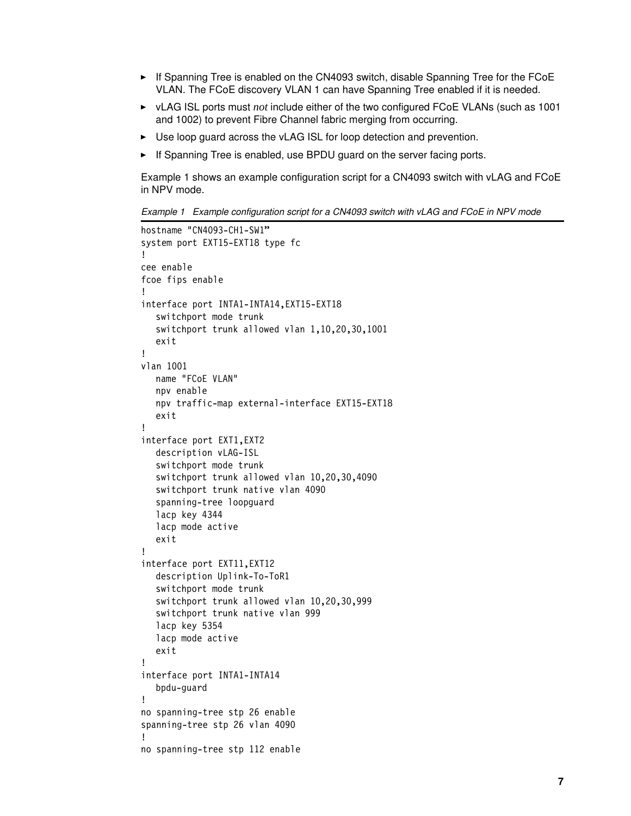- If Spanning Tree is enabled on the CN4093 switch, disable Spanning Tree for the FCoE VLAN. The FCoE discovery VLAN 1 can have Spanning Tree enabled if it is needed.
- ► vLAG ISL ports must *not* include either of the two configured FCoE VLANs (such as 1001 and 1002) to prevent Fibre Channel fabric merging from occurring.
- ► Use loop guard across the vLAG ISL for loop detection and prevention.
- If Spanning Tree is enabled, use BPDU guard on the server facing ports.

Example 1 shows an example configuration script for a CN4093 switch with vLAG and FCoE in NPV mode.

*Example 1 Example configuration script for a CN4093 switch with vLAG and FCoE in NPV mode*

```
hostname "CN4093-CH1-SW1"
system port EXT15-EXT18 type fc
!
cee enable
fcoe fips enable
!
interface port INTA1-INTA14,EXT15-EXT18
  switchport mode trunk
   switchport trunk allowed vlan 1,10,20,30,1001
  exit
!
vlan 1001
  name "FCoE VLAN"
  npv enable
  npv traffic-map external-interface EXT15-EXT18
  exit
!
interface port EXT1,EXT2
  description vLAG-ISL
  switchport mode trunk
   switchport trunk allowed vlan 10,20,30,4090
   switchport trunk native vlan 4090
   spanning-tree loopguard
   lacp key 4344
   lacp mode active
  exit
!
interface port EXT11,EXT12
   description Uplink-To-ToR1
   switchport mode trunk
   switchport trunk allowed vlan 10,20,30,999
   switchport trunk native vlan 999
  lacp key 5354
  lacp mode active
  exit
!
interface port INTA1-INTA14
   bpdu-guard
!
no spanning-tree stp 26 enable
spanning-tree stp 26 vlan 4090
!
no spanning-tree stp 112 enable
```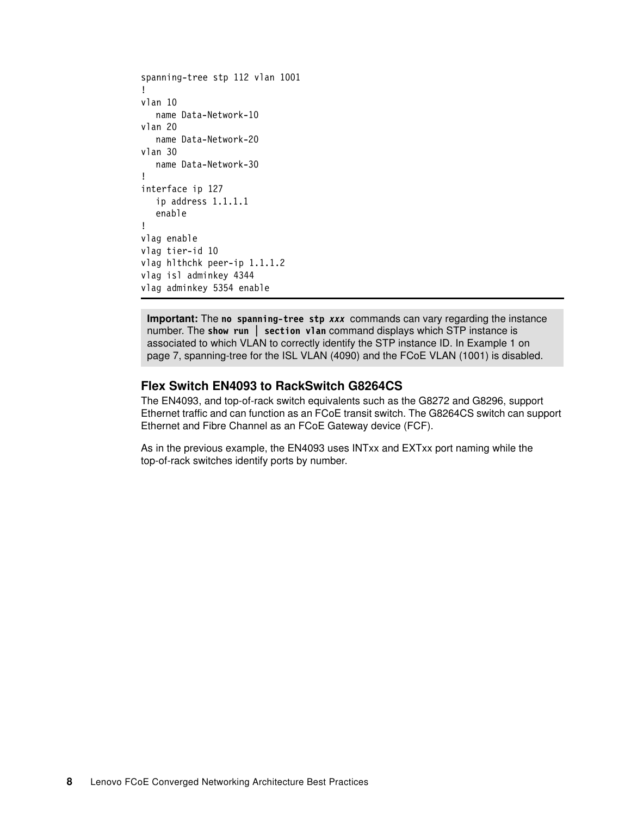```
spanning-tree stp 112 vlan 1001
!
vlan 10
  name Data-Network-10
vlan 20
  name Data-Network-20
vlan 30
  name Data-Network-30
!
interface ip 127
  ip address 1.1.1.1
  enable
!
vlag enable
vlag tier-id 10
vlag hlthchk peer-ip 1.1.1.2
vlag isl adminkey 4344
vlag adminkey 5354 enable
```
**Important:** The **no spanning-tree stp** *xxx* commands can vary regarding the instance number. The **show run | section vlan** command displays which STP instance is associated to which VLAN to correctly identify the STP instance ID. In Example 1 on page 7, spanning-tree for the ISL VLAN (4090) and the FCoE VLAN (1001) is disabled.

#### **Flex Switch EN4093 to RackSwitch G8264CS**

The EN4093, and top-of-rack switch equivalents such as the G8272 and G8296, support Ethernet traffic and can function as an FCoE transit switch. The G8264CS switch can support Ethernet and Fibre Channel as an FCoE Gateway device (FCF).

As in the previous example, the EN4093 uses INTxx and EXTxx port naming while the top-of-rack switches identify ports by number.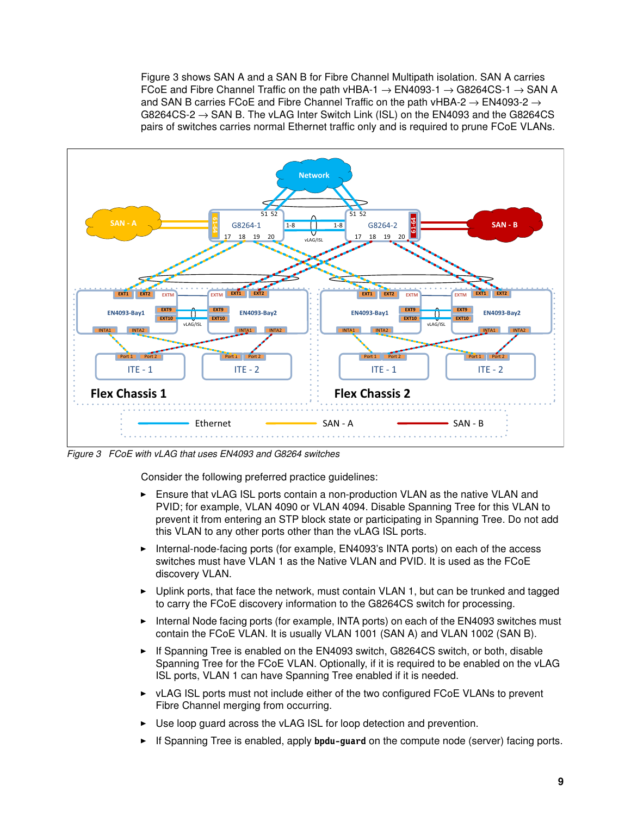Figure 3 shows SAN A and a SAN B for Fibre Channel Multipath isolation. SAN A carries FCoE and Fibre Channel Traffic on the path vHBA-1  $\rightarrow$  EN4093-1  $\rightarrow$  G8264CS-1  $\rightarrow$  SAN A and SAN B carries FCoE and Fibre Channel Traffic on the path vHBA-2  $\rightarrow$  EN4093-2  $\rightarrow$ G8264CS-2  $\rightarrow$  SAN B. The vLAG Inter Switch Link (ISL) on the EN4093 and the G8264CS pairs of switches carries normal Ethernet traffic only and is required to prune FCoE VLANs.



*Figure 3 FCoE with vLAG that uses EN4093 and G8264 switches*

Consider the following preferred practice guidelines:

- ► Ensure that vLAG ISL ports contain a non-production VLAN as the native VLAN and PVID; for example, VLAN 4090 or VLAN 4094. Disable Spanning Tree for this VLAN to prevent it from entering an STP block state or participating in Spanning Tree. Do not add this VLAN to any other ports other than the vLAG ISL ports.
- ► Internal-node-facing ports (for example, EN4093's INTA ports) on each of the access switches must have VLAN 1 as the Native VLAN and PVID. It is used as the FCoE discovery VLAN.
- ► Uplink ports, that face the network, must contain VLAN 1, but can be trunked and tagged to carry the FCoE discovery information to the G8264CS switch for processing.
- ► Internal Node facing ports (for example, INTA ports) on each of the EN4093 switches must contain the FCoE VLAN. It is usually VLAN 1001 (SAN A) and VLAN 1002 (SAN B).
- ► If Spanning Tree is enabled on the EN4093 switch, G8264CS switch, or both, disable Spanning Tree for the FCoE VLAN. Optionally, if it is required to be enabled on the vLAG ISL ports, VLAN 1 can have Spanning Tree enabled if it is needed.
- ► vLAG ISL ports must not include either of the two configured FCoE VLANs to prevent Fibre Channel merging from occurring.
- ► Use loop guard across the vLAG ISL for loop detection and prevention.
- -If Spanning Tree is enabled, apply **bpdu-guard** on the compute node (server) facing ports.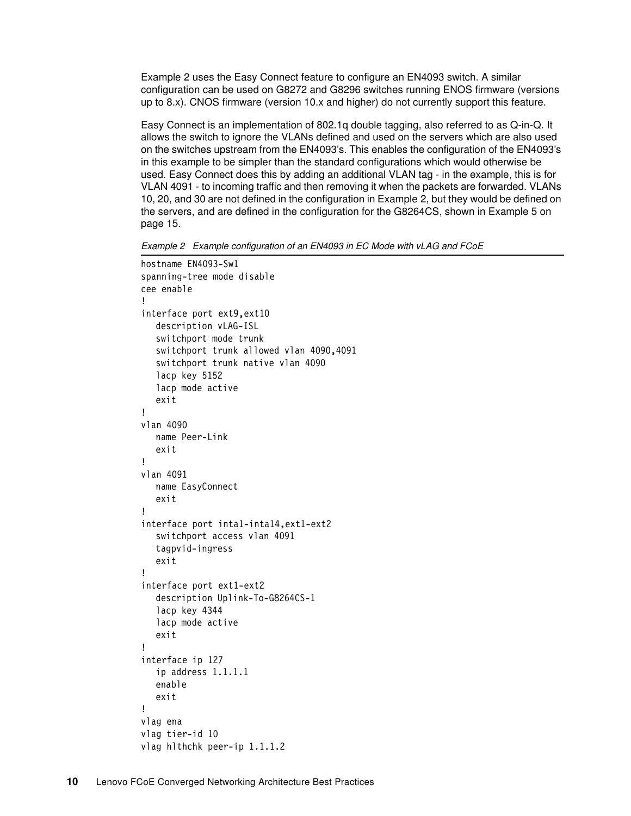Example 2 uses the Easy Connect feature to configure an EN4093 switch. A similar configuration can be used on G8272 and G8296 switches running ENOS firmware (versions up to 8.x). CNOS firmware (version 10.x and higher) do not currently support this feature.

Easy Connect is an implementation of 802.1q double tagging, also referred to as Q-in-Q. It allows the switch to ignore the VLANs defined and used on the servers which are also used on the switches upstream from the EN4093's. This enables the configuration of the EN4093's in this example to be simpler than the standard configurations which would otherwise be used. Easy Connect does this by adding an additional VLAN tag - in the example, this is for VLAN 4091 - to incoming traffic and then removing it when the packets are forwarded. VLANs 10, 20, and 30 are not defined in the configuration in Example 2, but they would be defined on the servers, and are defined in the configuration for the G8264CS, shown in Example 5 on page 15.

*Example 2 Example configuration of an EN4093 in EC Mode with vLAG and FCoE*

```
hostname EN4093-Sw1
spanning-tree mode disable
cee enable
!
interface port ext9,ext10
  description vLAG-ISL
  switchport mode trunk
  switchport trunk allowed vlan 4090,4091
  switchport trunk native vlan 4090
  lacp key 5152
  lacp mode active
  exit
!
vlan 4090
  name Peer-Link
  exit
!
vlan 4091
  name EasyConnect
  exit
!
interface port inta1-inta14,ext1-ext2
  switchport access vlan 4091
  tagpvid-ingress
  exit
!
interface port ext1-ext2
  description Uplink-To-G8264CS-1
  lacp key 4344
  lacp mode active
  exit
!
interface ip 127
  ip address 1.1.1.1
  enable
  exit
!
vlag ena
vlag tier-id 10
vlag hlthchk peer-ip 1.1.1.2
```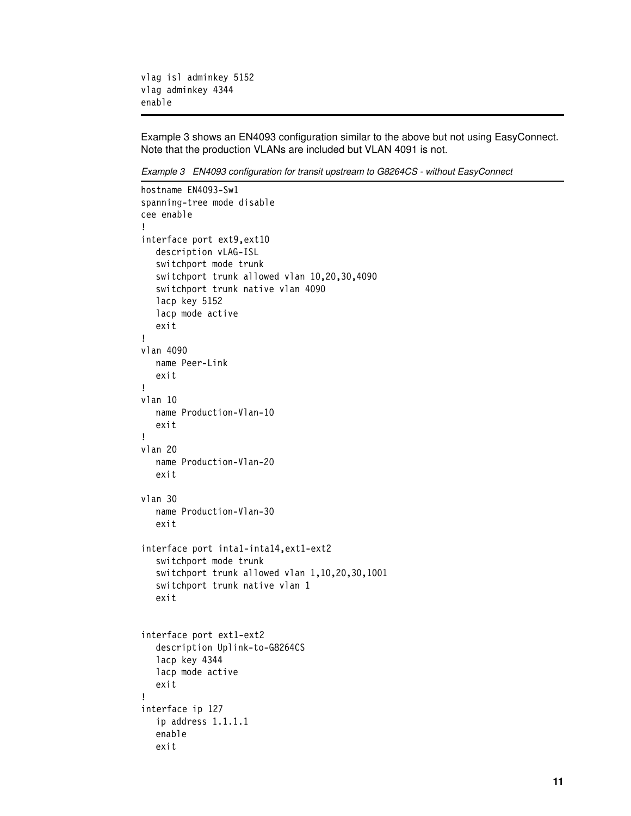```
vlag isl adminkey 5152
vlag adminkey 4344 
enable
```
[Example 3](#page-10-0) shows an EN4093 configuration similar to the above but not using EasyConnect. Note that the production VLANs are included but VLAN 4091 is not.

<span id="page-10-0"></span>*Example 3 EN4093 configuration for transit upstream to G8264CS - without EasyConnect*

```
hostname EN4093-Sw1
spanning-tree mode disable
cee enable
!
interface port ext9,ext10
  description vLAG-ISL
  switchport mode trunk
  switchport trunk allowed vlan 10,20,30,4090
  switchport trunk native vlan 4090
  lacp key 5152
  lacp mode active
  exit
!
vlan 4090
  name Peer-Link
  exit
!
vlan 10
  name Production-Vlan-10
  exit
!
vlan 20
  name Production-Vlan-20
  exit
vlan 30
  name Production-Vlan-30
  exit
interface port inta1-inta14,ext1-ext2
  switchport mode trunk
  switchport trunk allowed vlan 1,10,20,30,1001
  switchport trunk native vlan 1
  exit
interface port ext1-ext2
  description Uplink-to-G8264CS
  lacp key 4344
  lacp mode active
  exit
!
interface ip 127
  ip address 1.1.1.1
  enable
  exit
```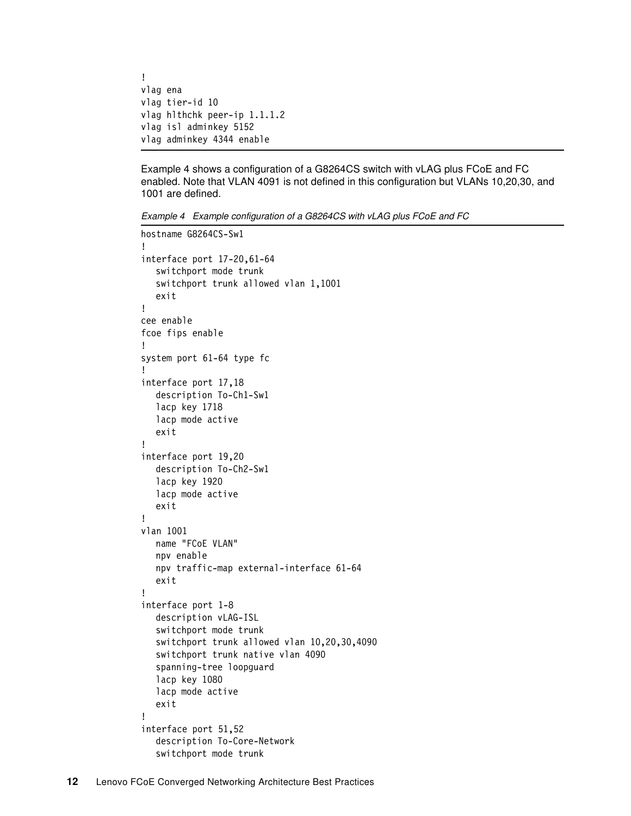```
!
vlag ena
vlag tier-id 10
vlag hlthchk peer-ip 1.1.1.2
vlag isl adminkey 5152
vlag adminkey 4344 enable
```
Example 4 shows a configuration of a G8264CS switch with vLAG plus FCoE and FC enabled. Note that VLAN 4091 is not defined in this configuration but VLANs 10,20,30, and 1001 are defined.

*Example 4 Example configuration of a G8264CS with vLAG plus FCoE and FC*

```
hostname G8264CS-Sw1
!
interface port 17-20,61-64
  switchport mode trunk
  switchport trunk allowed vlan 1,1001
  exit
!
cee enable
fcoe fips enable
!
system port 61-64 type fc
!
interface port 17,18
  description To-Ch1-Sw1
  lacp key 1718
  lacp mode active
  exit
!
interface port 19,20
  description To-Ch2-Sw1
  lacp key 1920
  lacp mode active
  exit
!
vlan 1001
  name "FCoE VLAN"
  npv enable
  npv traffic-map external-interface 61-64
  exit
!
interface port 1-8
  description vLAG-ISL
  switchport mode trunk
  switchport trunk allowed vlan 10,20,30,4090
   switchport trunk native vlan 4090
   spanning-tree loopguard
   lacp key 1080
  lacp mode active
  exit
!
interface port 51,52
  description To-Core-Network
  switchport mode trunk
```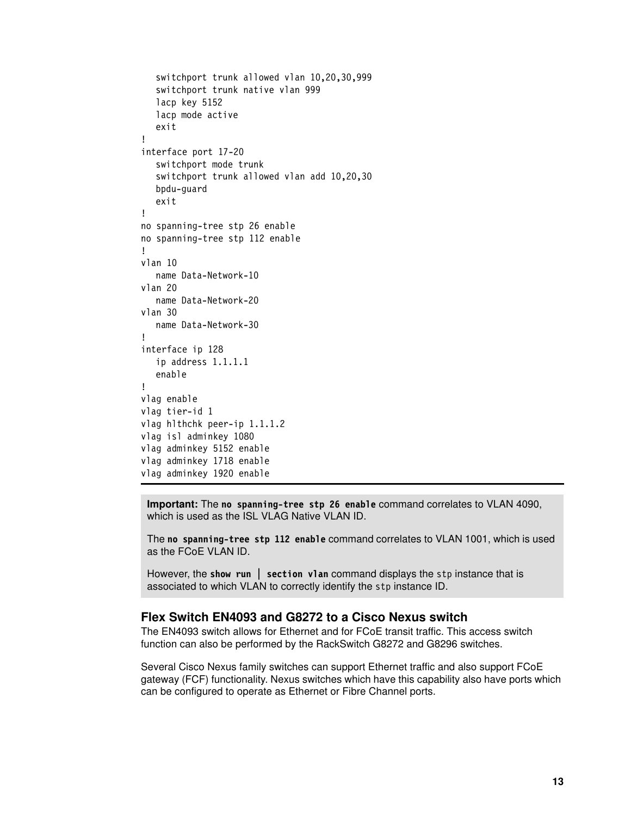```
switchport trunk allowed vlan 10,20,30,999
  switchport trunk native vlan 999
  lacp key 5152
  lacp mode active
  exit
!
interface port 17-20
  switchport mode trunk
  switchport trunk allowed vlan add 10,20,30
  bpdu-guard
  exit
!
no spanning-tree stp 26 enable
no spanning-tree stp 112 enable
!
vlan 10
  name Data-Network-10
vlan 20
  name Data-Network-20
vlan 30
  name Data-Network-30
!
interface ip 128
  ip address 1.1.1.1
  enable
!
vlag enable
vlag tier-id 1
vlag hlthchk peer-ip 1.1.1.2
vlag isl adminkey 1080
vlag adminkey 5152 enable
vlag adminkey 1718 enable
vlag adminkey 1920 enable
```
**Important:** The **no spanning-tree stp 26 enable** command correlates to VLAN 4090, which is used as the ISL VLAG Native VLAN ID.

The **no spanning-tree stp 112 enable** command correlates to VLAN 1001, which is used as the FCoE VLAN ID.

However, the **show run | section vlan** command displays the stp instance that is associated to which VLAN to correctly identify the stp instance ID.

#### **Flex Switch EN4093 and G8272 to a Cisco Nexus switch**

The EN4093 switch allows for Ethernet and for FCoE transit traffic. This access switch function can also be performed by the RackSwitch G8272 and G8296 switches.

Several Cisco Nexus family switches can support Ethernet traffic and also support FCoE gateway (FCF) functionality. Nexus switches which have this capability also have ports which can be configured to operate as Ethernet or Fibre Channel ports.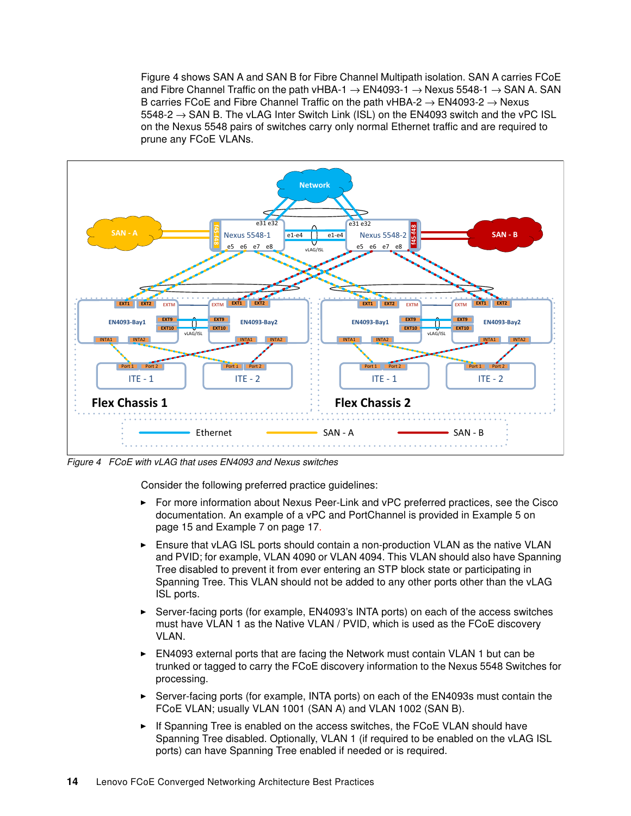Figure 4 shows SAN A and SAN B for Fibre Channel Multipath isolation. SAN A carries FCoE and Fibre Channel Traffic on the path vHBA-1  $\rightarrow$  EN4093-1  $\rightarrow$  Nexus 5548-1  $\rightarrow$  SAN A. SAN B carries FCoE and Fibre Channel Traffic on the path vHBA-2  $\rightarrow$  EN4093-2  $\rightarrow$  Nexus  $5548-2 \rightarrow$  SAN B. The vLAG Inter Switch Link (ISL) on the EN4093 switch and the vPC ISL on the Nexus 5548 pairs of switches carry only normal Ethernet traffic and are required to prune any FCoE VLANs.



*Figure 4 FCoE with vLAG that uses EN4093 and Nexus switches*

Consider the following preferred practice guidelines:

- - For more information about Nexus Peer-Link and vPC preferred practices, see the Cisco documentation. An example of a vPC and PortChannel is provided in Example 5 on page 15 and Example 7 on page 17.
- ► Ensure that vLAG ISL ports should contain a non-production VLAN as the native VLAN and PVID; for example, VLAN 4090 or VLAN 4094. This VLAN should also have Spanning Tree disabled to prevent it from ever entering an STP block state or participating in Spanning Tree. This VLAN should not be added to any other ports other than the vLAG ISL ports.
- - Server-facing ports (for example, EN4093's INTA ports) on each of the access switches must have VLAN 1 as the Native VLAN / PVID, which is used as the FCoE discovery VLAN.
- ► EN4093 external ports that are facing the Network must contain VLAN 1 but can be trunked or tagged to carry the FCoE discovery information to the Nexus 5548 Switches for processing.
- ► Server-facing ports (for example, INTA ports) on each of the EN4093s must contain the FCoE VLAN; usually VLAN 1001 (SAN A) and VLAN 1002 (SAN B).
- ► If Spanning Tree is enabled on the access switches, the FCoE VLAN should have Spanning Tree disabled. Optionally, VLAN 1 (if required to be enabled on the vLAG ISL ports) can have Spanning Tree enabled if needed or is required.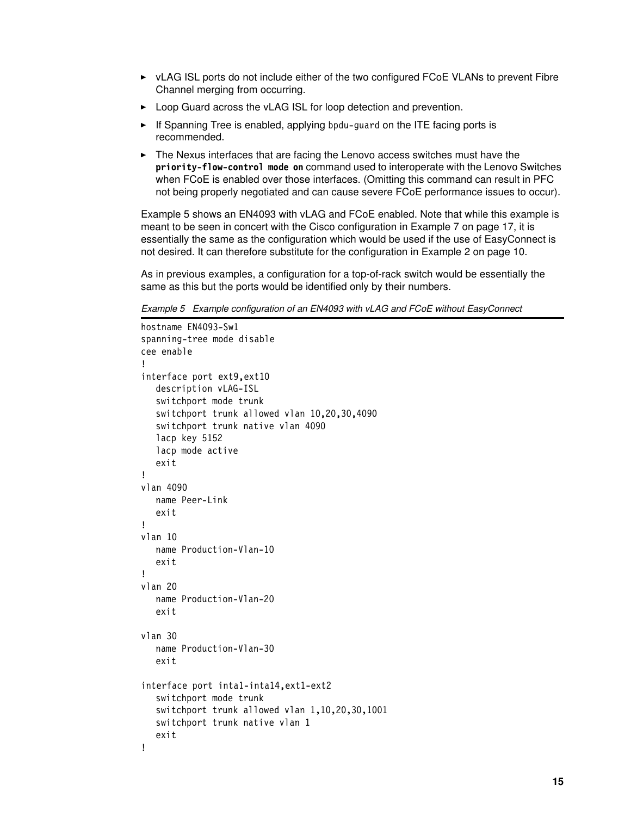- ► vLAG ISL ports do not include either of the two configured FCoE VLANs to prevent Fibre Channel merging from occurring.
- ► Loop Guard across the vLAG ISL for loop detection and prevention.
- ► If Spanning Tree is enabled, applying bpdu-guard on the ITE facing ports is recommended.
- The Nexus interfaces that are facing the Lenovo access switches must have the **priority-flow-control mode on** command used to interoperate with the Lenovo Switches when FCoE is enabled over those interfaces. (Omitting this command can result in PFC not being properly negotiated and can cause severe FCoE performance issues to occur).

Example 5 shows an EN4093 with vLAG and FCoE enabled. Note that while this example is meant to be seen in concert with the Cisco configuration in Example 7 on page 17, it is essentially the same as the configuration which would be used if the use of EasyConnect is not desired. It can therefore substitute for the configuration in Example 2 on page 10.

As in previous examples, a configuration for a top-of-rack switch would be essentially the same as this but the ports would be identified only by their numbers.

*Example 5 Example configuration of an EN4093 with vLAG and FCoE without EasyConnect*

```
hostname EN4093-Sw1
spanning-tree mode disable
cee enable
!
interface port ext9,ext10
  description vLAG-ISL
  switchport mode trunk
  switchport trunk allowed vlan 10,20,30,4090
  switchport trunk native vlan 4090
  lacp key 5152
  lacp mode active
  exit
!
vlan 4090
  name Peer-Link
  exit
!
vlan 10
  name Production-Vlan-10
  exit
!
vlan 20
  name Production-Vlan-20
  exit
vlan 30
  name Production-Vlan-30
  exit
interface port inta1-inta14,ext1-ext2
  switchport mode trunk
  switchport trunk allowed vlan 1,10,20,30,1001
  switchport trunk native vlan 1
  exit
!
```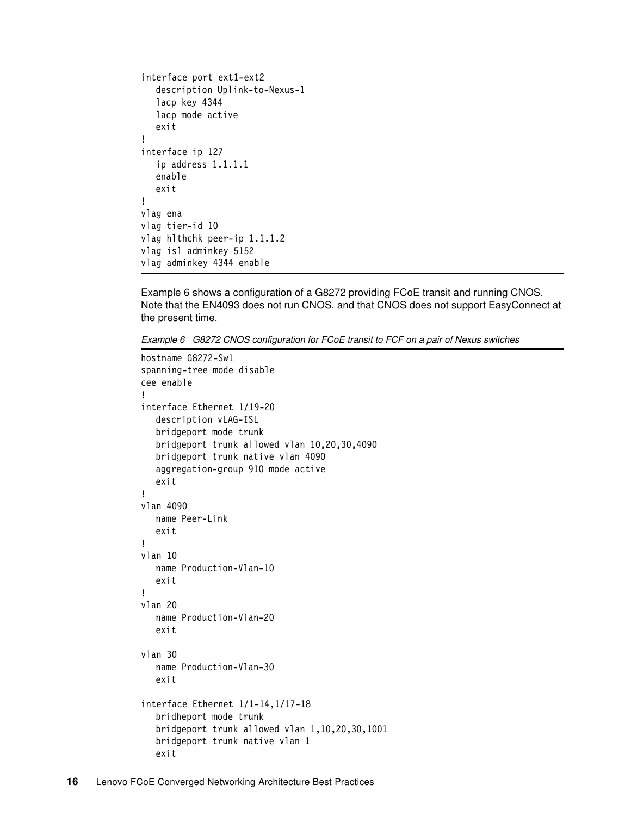```
interface port ext1-ext2
  description Uplink-to-Nexus-1
  lacp key 4344
  lacp mode active
  exit
!
interface ip 127
  ip address 1.1.1.1
  enable
  exit
!
vlag ena
vlag tier-id 10
vlag hlthchk peer-ip 1.1.1.2
vlag isl adminkey 5152
vlag adminkey 4344 enable
```
[Example 6](#page-15-0) shows a configuration of a G8272 providing FCoE transit and running CNOS. Note that the EN4093 does not run CNOS, and that CNOS does not support EasyConnect at the present time.

<span id="page-15-0"></span>*Example 6 G8272 CNOS configuration for FCoE transit to FCF on a pair of Nexus switches*

```
hostname G8272-Sw1
spanning-tree mode disable
cee enable
!
interface Ethernet 1/19-20
  description vLAG-ISL
  bridgeport mode trunk
  bridgeport trunk allowed vlan 10,20,30,4090
  bridgeport trunk native vlan 4090
  aggregation-group 910 mode active
  exit
!
vlan 4090
  name Peer-Link
  exit
!
vlan 10
  name Production-Vlan-10
  exit
!
vlan 20
  name Production-Vlan-20
  exit
vlan 30
  name Production-Vlan-30
  exit
interface Ethernet 1/1-14,1/17-18
  bridheport mode trunk
  bridgeport trunk allowed vlan 1,10,20,30,1001
  bridgeport trunk native vlan 1
  exit
```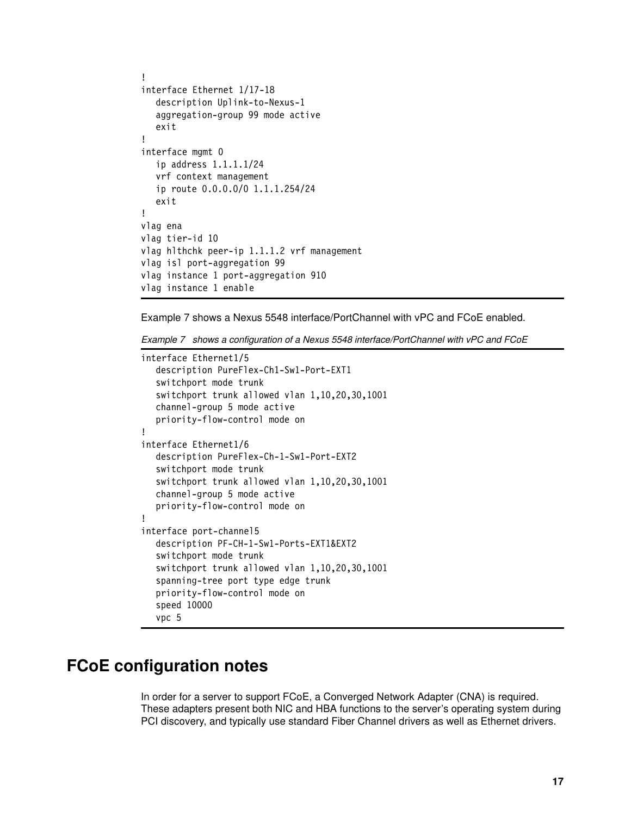```
!
interface Ethernet 1/17-18
  description Uplink-to-Nexus-1
  aggregation-group 99 mode active
  exit
!
interface mgmt 0
  ip address 1.1.1.1/24
  vrf context management
  ip route 0.0.0.0/0 1.1.1.254/24
  exit
!
vlag ena
vlag tier-id 10
vlag hlthchk peer-ip 1.1.1.2 vrf management
vlag isl port-aggregation 99
vlag instance 1 port-aggregation 910 
vlag instance 1 enable
```
Example 7 shows a Nexus 5548 interface/PortChannel with vPC and FCoE enabled.

*Example 7 shows a configuration of a Nexus 5548 interface/PortChannel with vPC and FCoE* 

```
interface Ethernet1/5
  description PureFlex-Ch1-Sw1-Port-EXT1
  switchport mode trunk
  switchport trunk allowed vlan 1,10,20,30,1001
  channel-group 5 mode active
  priority-flow-control mode on
!
interface Ethernet1/6
  description PureFlex-Ch-1-Sw1-Port-EXT2
  switchport mode trunk
  switchport trunk allowed vlan 1,10,20,30,1001
  channel-group 5 mode active
  priority-flow-control mode on
!
interface port-channel5
  description PF-CH-1-Sw1-Ports-EXT1&EXT2
  switchport mode trunk
  switchport trunk allowed vlan 1,10,20,30,1001
  spanning-tree port type edge trunk
  priority-flow-control mode on
  speed 10000
  vpc 5
```
# <span id="page-16-0"></span>**FCoE configuration notes**

In order for a server to support FCoE, a Converged Network Adapter (CNA) is required. These adapters present both NIC and HBA functions to the server's operating system during PCI discovery, and typically use standard Fiber Channel drivers as well as Ethernet drivers.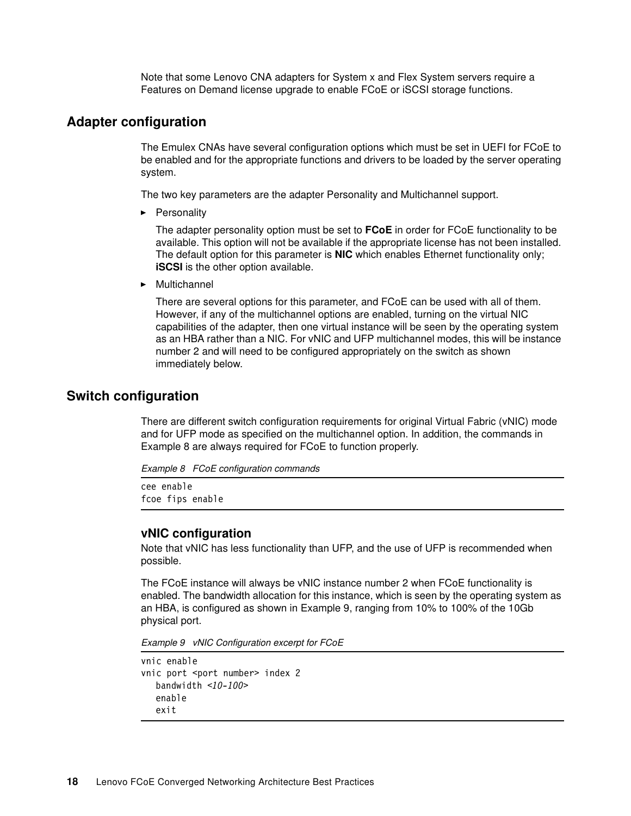Note that some Lenovo CNA adapters for System x and Flex System servers require a Features on Demand license upgrade to enable FCoE or iSCSI storage functions.

#### **Adapter configuration**

The Emulex CNAs have several configuration options which must be set in UEFI for FCoE to be enabled and for the appropriate functions and drivers to be loaded by the server operating system.

The two key parameters are the adapter Personality and Multichannel support.

**-** Personality

The adapter personality option must be set to **FCoE** in order for FCoE functionality to be available. This option will not be available if the appropriate license has not been installed. The default option for this parameter is **NIC** which enables Ethernet functionality only; **iSCSI** is the other option available.

-Multichannel

> There are several options for this parameter, and FCoE can be used with all of them. However, if any of the multichannel options are enabled, turning on the virtual NIC capabilities of the adapter, then one virtual instance will be seen by the operating system as an HBA rather than a NIC. For vNIC and UFP multichannel modes, this will be instance number 2 and will need to be configured appropriately on the switch as shown immediately below.

#### **Switch configuration**

There are different switch configuration requirements for original Virtual Fabric (vNIC) mode and for UFP mode as specified on the multichannel option. In addition, the commands in [Example 8](#page-17-1) are always required for FCoE to function properly.

<span id="page-17-1"></span>*Example 8 FCoE configuration commands*

cee enable fcoe fips enable

#### **vNIC configuration**

Note that vNIC has less functionality than UFP, and the use of UFP is recommended when possible.

The FCoE instance will always be vNIC instance number 2 when FCoE functionality is enabled. The bandwidth allocation for this instance, which is seen by the operating system as an HBA, is configured as shown in [Example 9](#page-17-0), ranging from 10% to 100% of the 10Gb physical port.

<span id="page-17-0"></span>*Example 9 vNIC Configuration excerpt for FCoE*

```
vnic enable
vnic port <port number> index 2
  bandwidth <10-100>
  enable
  exit
```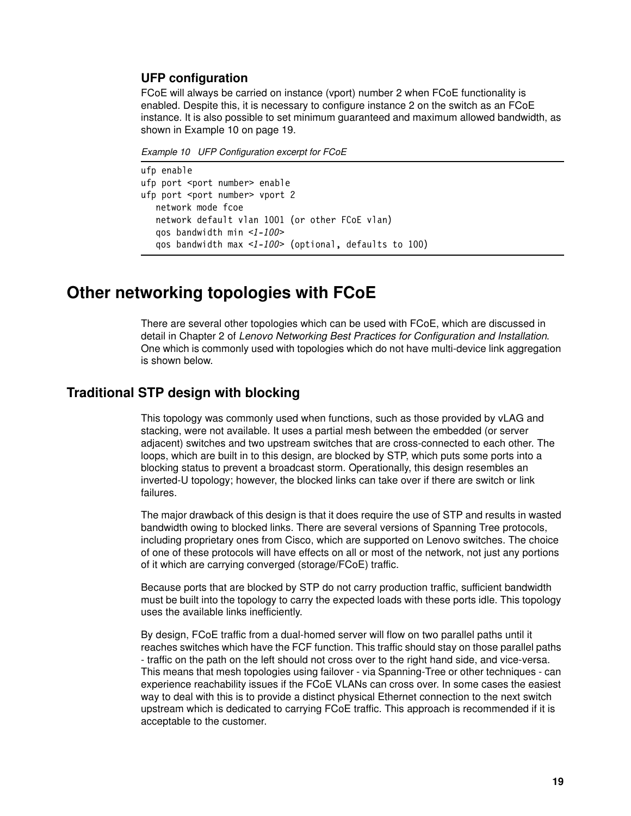#### **UFP configuration**

FCoE will always be carried on instance (vport) number 2 when FCoE functionality is enabled. Despite this, it is necessary to configure instance 2 on the switch as an FCoE instance. It is also possible to set minimum guaranteed and maximum allowed bandwidth, as shown in [Example 10 on page 19.](#page-18-1)

<span id="page-18-1"></span>*Example 10 UFP Configuration excerpt for FCoE*

```
ufp enable
ufp port <port number> enable
ufp port <port number> vport 2
  network mode fcoe
  network default vlan 1001 (or other FCoE vlan)
  qos bandwidth min <1-100>
  qos bandwidth max <1-100> (optional, defaults to 100)
```
## <span id="page-18-0"></span>**Other networking topologies with FCoE**

There are several other topologies which can be used with FCoE, which are discussed in detail in Chapter 2 of *Lenovo Networking Best Practices for Configuration and Installation*. One which is commonly used with topologies which do not have multi-device link aggregation is shown below.

#### **Traditional STP design with blocking**

This topology was commonly used when functions, such as those provided by vLAG and stacking, were not available. It uses a partial mesh between the embedded (or server adjacent) switches and two upstream switches that are cross-connected to each other. The loops, which are built in to this design, are blocked by STP, which puts some ports into a blocking status to prevent a broadcast storm. Operationally, this design resembles an inverted-U topology; however, the blocked links can take over if there are switch or link failures.

The major drawback of this design is that it does require the use of STP and results in wasted bandwidth owing to blocked links. There are several versions of Spanning Tree protocols, including proprietary ones from Cisco, which are supported on Lenovo switches. The choice of one of these protocols will have effects on all or most of the network, not just any portions of it which are carrying converged (storage/FCoE) traffic.

Because ports that are blocked by STP do not carry production traffic, sufficient bandwidth must be built into the topology to carry the expected loads with these ports idle. This topology uses the available links inefficiently.

By design, FCoE traffic from a dual-homed server will flow on two parallel paths until it reaches switches which have the FCF function. This traffic should stay on those parallel paths - traffic on the path on the left should not cross over to the right hand side, and vice-versa. This means that mesh topologies using failover - via Spanning-Tree or other techniques - can experience reachability issues if the FCoE VLANs can cross over. In some cases the easiest way to deal with this is to provide a distinct physical Ethernet connection to the next switch upstream which is dedicated to carrying FCoE traffic. This approach is recommended if it is acceptable to the customer.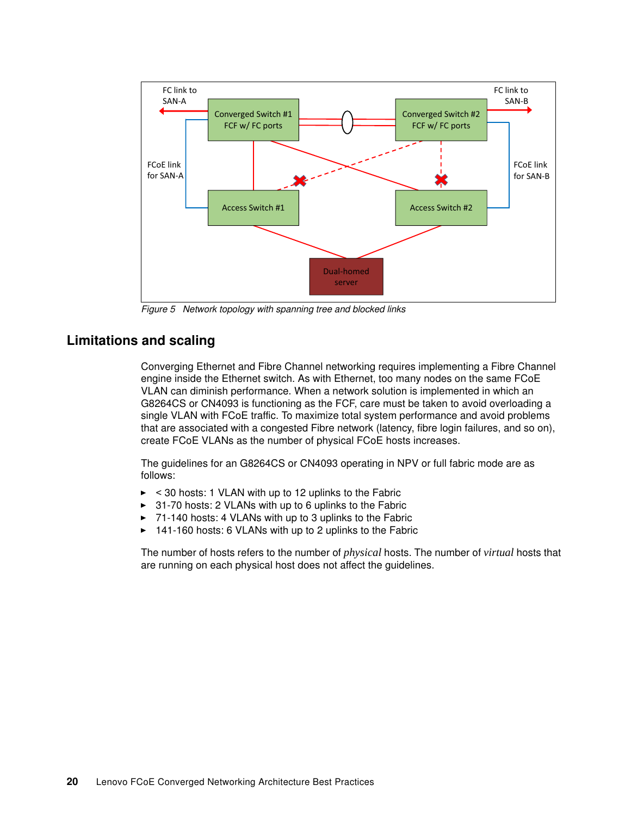

*Figure 5 Network topology with spanning tree and blocked links*

#### **Limitations and scaling**

Converging Ethernet and Fibre Channel networking requires implementing a Fibre Channel engine inside the Ethernet switch. As with Ethernet, too many nodes on the same FCoE VLAN can diminish performance. When a network solution is implemented in which an G8264CS or CN4093 is functioning as the FCF, care must be taken to avoid overloading a single VLAN with FCoE traffic. To maximize total system performance and avoid problems that are associated with a congested Fibre network (latency, fibre login failures, and so on), create FCoE VLANs as the number of physical FCoE hosts increases.

The guidelines for an G8264CS or CN4093 operating in NPV or full fabric mode are as follows:

- ► < 30 hosts: 1 VLAN with up to 12 uplinks to the Fabric
- -31-70 hosts: 2 VLANs with up to 6 uplinks to the Fabric
- -71-140 hosts: 4 VLANs with up to 3 uplinks to the Fabric
- -141-160 hosts: 6 VLANs with up to 2 uplinks to the Fabric

The number of hosts refers to the number of *physical* hosts. The number of *virtual* hosts that are running on each physical host does not affect the guidelines.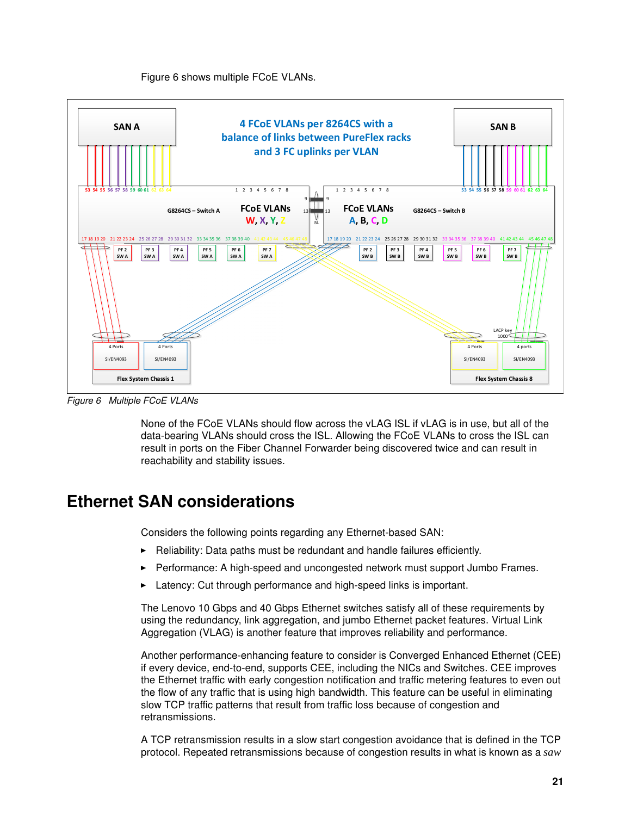#### [Figure 6](#page-20-1) shows multiple FCoE VLANs.



<span id="page-20-1"></span>*Figure 6 Multiple FCoE VLANs*

None of the FCoE VLANs should flow across the vLAG ISL if vLAG is in use, but all of the data-bearing VLANs should cross the ISL. Allowing the FCoE VLANs to cross the ISL can result in ports on the Fiber Channel Forwarder being discovered twice and can result in reachability and stability issues.

## <span id="page-20-0"></span>**Ethernet SAN considerations**

Considers the following points regarding any Ethernet-based SAN:

- Reliability: Data paths must be redundant and handle failures efficiently.
- -Performance: A high-speed and uncongested network must support Jumbo Frames.
- -Latency: Cut through performance and high-speed links is important.

The Lenovo 10 Gbps and 40 Gbps Ethernet switches satisfy all of these requirements by using the redundancy, link aggregation, and jumbo Ethernet packet features. Virtual Link Aggregation (VLAG) is another feature that improves reliability and performance.

Another performance-enhancing feature to consider is Converged Enhanced Ethernet (CEE) if every device, end-to-end, supports CEE, including the NICs and Switches. CEE improves the Ethernet traffic with early congestion notification and traffic metering features to even out the flow of any traffic that is using high bandwidth. This feature can be useful in eliminating slow TCP traffic patterns that result from traffic loss because of congestion and retransmissions.

A TCP retransmission results in a slow start congestion avoidance that is defined in the TCP protocol. Repeated retransmissions because of congestion results in what is known as a *saw*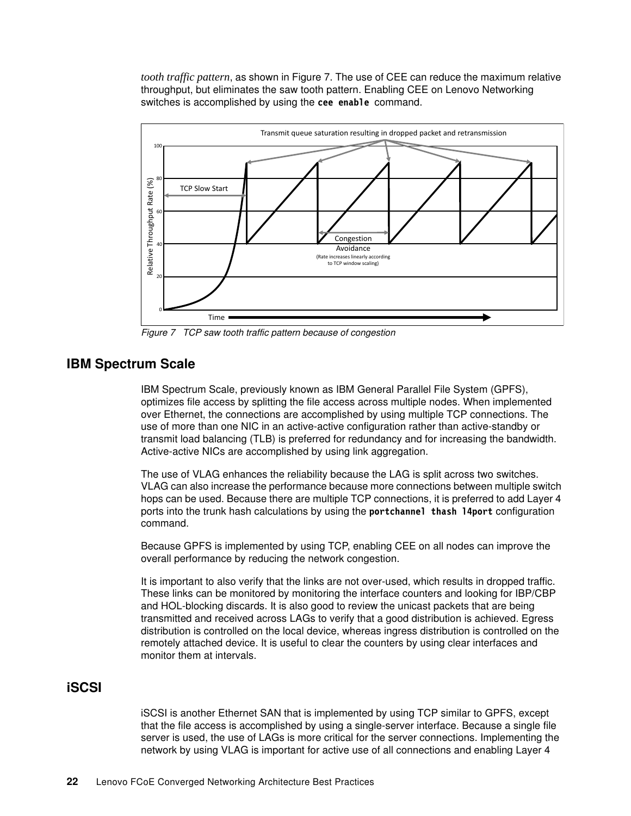*tooth traffic pattern*, as shown in Figure 7. The use of CEE can reduce the maximum relative throughput, but eliminates the saw tooth pattern. Enabling CEE on Lenovo Networking switches is accomplished by using the **cee enable** command.



*Figure 7 TCP saw tooth traffic pattern because of congestion*

#### **IBM Spectrum Scale**

IBM Spectrum Scale, previously known as IBM General Parallel File System (GPFS), optimizes file access by splitting the file access across multiple nodes. When implemented over Ethernet, the connections are accomplished by using multiple TCP connections. The use of more than one NIC in an active-active configuration rather than active-standby or transmit load balancing (TLB) is preferred for redundancy and for increasing the bandwidth. Active-active NICs are accomplished by using link aggregation.

The use of VLAG enhances the reliability because the LAG is split across two switches. VLAG can also increase the performance because more connections between multiple switch hops can be used. Because there are multiple TCP connections, it is preferred to add Layer 4 ports into the trunk hash calculations by using the **portchannel thash l4port** configuration command.

Because GPFS is implemented by using TCP, enabling CEE on all nodes can improve the overall performance by reducing the network congestion.

It is important to also verify that the links are not over-used, which results in dropped traffic. These links can be monitored by monitoring the interface counters and looking for IBP/CBP and HOL-blocking discards. It is also good to review the unicast packets that are being transmitted and received across LAGs to verify that a good distribution is achieved. Egress distribution is controlled on the local device, whereas ingress distribution is controlled on the remotely attached device. It is useful to clear the counters by using clear interfaces and monitor them at intervals.

#### **iSCSI**

iSCSI is another Ethernet SAN that is implemented by using TCP similar to GPFS, except that the file access is accomplished by using a single-server interface. Because a single file server is used, the use of LAGs is more critical for the server connections. Implementing the network by using VLAG is important for active use of all connections and enabling Layer 4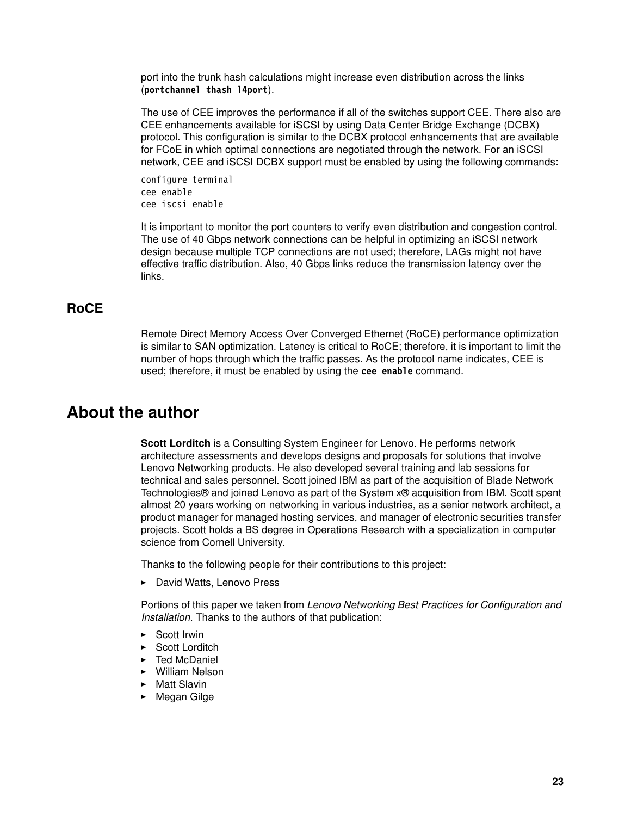port into the trunk hash calculations might increase even distribution across the links (**portchannel thash l4port**).

The use of CEE improves the performance if all of the switches support CEE. There also are CEE enhancements available for iSCSI by using Data Center Bridge Exchange (DCBX) protocol. This configuration is similar to the DCBX protocol enhancements that are available for FCoE in which optimal connections are negotiated through the network. For an iSCSI network, CEE and iSCSI DCBX support must be enabled by using the following commands:

configure terminal cee enable cee iscsi enable

It is important to monitor the port counters to verify even distribution and congestion control. The use of 40 Gbps network connections can be helpful in optimizing an iSCSI network design because multiple TCP connections are not used; therefore, LAGs might not have effective traffic distribution. Also, 40 Gbps links reduce the transmission latency over the links.

#### **RoCE**

Remote Direct Memory Access Over Converged Ethernet (RoCE) performance optimization is similar to SAN optimization. Latency is critical to RoCE; therefore, it is important to limit the number of hops through which the traffic passes. As the protocol name indicates, CEE is used; therefore, it must be enabled by using the **cee enable** command.

# <span id="page-22-0"></span>**About the author**

**Scott Lorditch** is a Consulting System Engineer for Lenovo. He performs network architecture assessments and develops designs and proposals for solutions that involve Lenovo Networking products. He also developed several training and lab sessions for technical and sales personnel. Scott joined IBM as part of the acquisition of Blade Network Technologies® and joined Lenovo as part of the System x® acquisition from IBM. Scott spent almost 20 years working on networking in various industries, as a senior network architect, a product manager for managed hosting services, and manager of electronic securities transfer projects. Scott holds a BS degree in Operations Research with a specialization in computer science from Cornell University.

Thanks to the following people for their contributions to this project:

► David Watts, Lenovo Press

Portions of this paper we taken from *Lenovo Networking Best Practices for Configuration and Installation*. Thanks to the authors of that publication:

- ► Scott Irwin
- ► Scott Lorditch
- ► Ted McDaniel
- William Nelson
- ► Matt Slavin
- ► Megan Gilge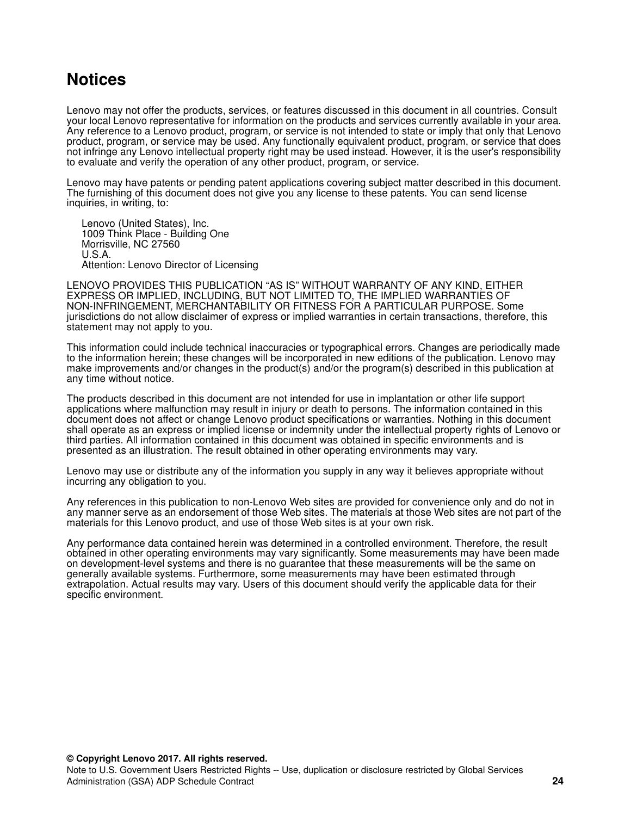# <span id="page-23-0"></span>**Notices**

Lenovo may not offer the products, services, or features discussed in this document in all countries. Consult your local Lenovo representative for information on the products and services currently available in your area. Any reference to a Lenovo product, program, or service is not intended to state or imply that only that Lenovo product, program, or service may be used. Any functionally equivalent product, program, or service that does not infringe any Lenovo intellectual property right may be used instead. However, it is the user's responsibility to evaluate and verify the operation of any other product, program, or service.

Lenovo may have patents or pending patent applications covering subject matter described in this document. The furnishing of this document does not give you any license to these patents. You can send license inquiries, in writing, to:

Lenovo (United States), Inc. 1009 Think Place - Building One Morrisville, NC 27560 U.S.A. Attention: Lenovo Director of Licensing

LENOVO PROVIDES THIS PUBLICATION "AS IS" WITHOUT WARRANTY OF ANY KIND, EITHER EXPRESS OR IMPLIED, INCLUDING, BUT NOT LIMITED TO, THE IMPLIED WARRANTIES OF NON-INFRINGEMENT, MERCHANTABILITY OR FITNESS FOR A PARTICULAR PURPOSE. Some jurisdictions do not allow disclaimer of express or implied warranties in certain transactions, therefore, this statement may not apply to you.

This information could include technical inaccuracies or typographical errors. Changes are periodically made to the information herein; these changes will be incorporated in new editions of the publication. Lenovo may make improvements and/or changes in the product(s) and/or the program(s) described in this publication at any time without notice.

The products described in this document are not intended for use in implantation or other life support applications where malfunction may result in injury or death to persons. The information contained in this document does not affect or change Lenovo product specifications or warranties. Nothing in this document shall operate as an express or implied license or indemnity under the intellectual property rights of Lenovo or third parties. All information contained in this document was obtained in specific environments and is presented as an illustration. The result obtained in other operating environments may vary.

Lenovo may use or distribute any of the information you supply in any way it believes appropriate without incurring any obligation to you.

Any references in this publication to non-Lenovo Web sites are provided for convenience only and do not in any manner serve as an endorsement of those Web sites. The materials at those Web sites are not part of the materials for this Lenovo product, and use of those Web sites is at your own risk.

Any performance data contained herein was determined in a controlled environment. Therefore, the result obtained in other operating environments may vary significantly. Some measurements may have been made on development-level systems and there is no guarantee that these measurements will be the same on generally available systems. Furthermore, some measurements may have been estimated through extrapolation. Actual results may vary. Users of this document should verify the applicable data for their specific environment.